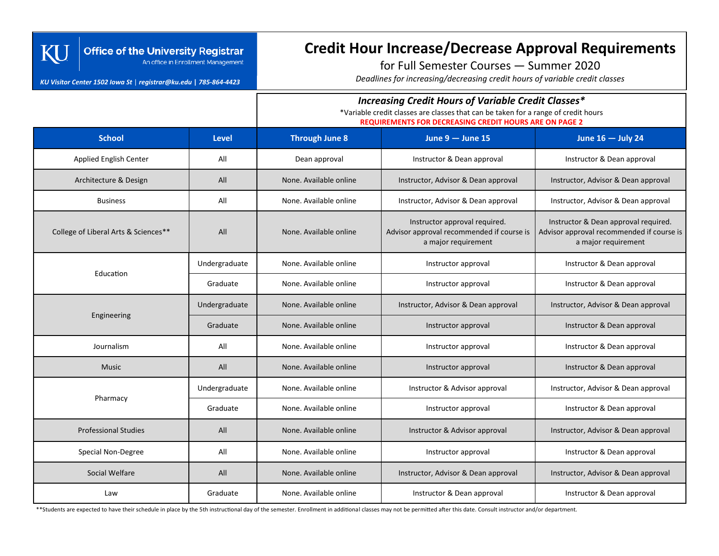### **Office of the University Registrar** An office in Enrollment Management

#### *KU Visitor Center 1502 Iowa St* | *registrar@ku.edu* **|** *785-864-4423*

KU

# **Credit Hour Increase/Decrease Approval Requirements**

for Full Semester Courses — Summer 2020

*Deadlines for increasing/decreasing credit hours of variable credit classes*

### *Increasing Credit Hours of Variable Credit Classes\**

\*Variable credit classes are classes that can be taken for a range of credit hours

**REQUIREMENTS FOR DECREASING CREDIT HOURS ARE ON PAGE 2**

| <b>School</b>                        | <b>Level</b>  | <b>Through June 8</b>                                   | June $9 -$ June 15                                                                                | June 16 - July 24                                                                                        |
|--------------------------------------|---------------|---------------------------------------------------------|---------------------------------------------------------------------------------------------------|----------------------------------------------------------------------------------------------------------|
| <b>Applied English Center</b>        | All           | Dean approval                                           | Instructor & Dean approval                                                                        | Instructor & Dean approval                                                                               |
| Architecture & Design                | All           | None. Available online                                  | Instructor, Advisor & Dean approval                                                               | Instructor, Advisor & Dean approval                                                                      |
| <b>Business</b>                      | All           | None. Available online                                  | Instructor, Advisor & Dean approval                                                               | Instructor, Advisor & Dean approval                                                                      |
| College of Liberal Arts & Sciences** | All           | None. Available online                                  | Instructor approval required.<br>Advisor approval recommended if course is<br>a major requirement | Instructor & Dean approval required.<br>Advisor approval recommended if course is<br>a major requirement |
| Education                            | Undergraduate | None. Available online                                  | Instructor approval                                                                               | Instructor & Dean approval                                                                               |
|                                      | Graduate      | None. Available online                                  | Instructor approval                                                                               | Instructor & Dean approval                                                                               |
| Engineering                          | Undergraduate | None. Available online                                  | Instructor, Advisor & Dean approval                                                               | Instructor, Advisor & Dean approval                                                                      |
|                                      | Graduate      | None. Available online                                  | Instructor approval                                                                               | Instructor & Dean approval                                                                               |
| Journalism                           | All           | None. Available online                                  | Instructor approval                                                                               | Instructor & Dean approval                                                                               |
| <b>Music</b>                         | All           | None. Available online                                  | Instructor approval                                                                               | Instructor & Dean approval                                                                               |
| Pharmacy                             | Undergraduate | None. Available online<br>Instructor & Advisor approval |                                                                                                   | Instructor, Advisor & Dean approval                                                                      |
|                                      | Graduate      | None. Available online<br>Instructor approval           |                                                                                                   | Instructor & Dean approval                                                                               |
| <b>Professional Studies</b>          | All           | None. Available online                                  | Instructor & Advisor approval                                                                     | Instructor, Advisor & Dean approval                                                                      |
| Special Non-Degree                   | All           | None. Available online                                  | Instructor approval                                                                               | Instructor & Dean approval                                                                               |
| Social Welfare                       | All           | None. Available online                                  | Instructor, Advisor & Dean approval<br>Instructor, Advisor & Dean approval                        |                                                                                                          |
| Law                                  | Graduate      | Instructor & Dean approval<br>None. Available online    |                                                                                                   | Instructor & Dean approval                                                                               |

\*\*Students are expected to have their schedule in place by the 5th instructional day of the semester. Enrollment in additional classes may not be permitted after this date. Consult instructor and/or department.